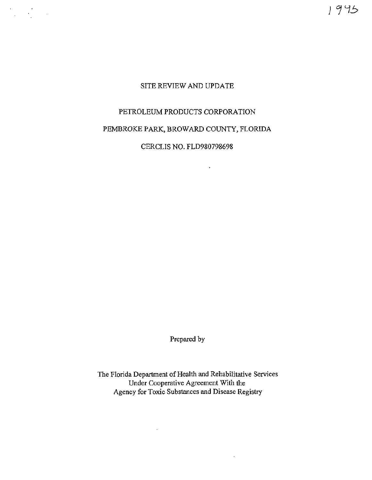$1945$ 

# SITE REVIEW AND UPDATE

 $\label{eq:2} \frac{d\mathbf{y}}{d\mathbf{x}} = \frac{d\mathbf{y}}{d\mathbf{x}} = \frac{d\mathbf{y}}{d\mathbf{x}}$ 

# PETROLEUM PRODUCTS CORPORATION

PEMBROKE PARK, BROWARD COUNTY, FLORIDA

CERCUS NO. FLD980798698

 $\mathcal{L}$ 

Prepared by

The Florida Department of Health and Rehabilitative Services Under Cooperative Agreement With the Agency for Toxic Substances and Disease Registry

 $\sim$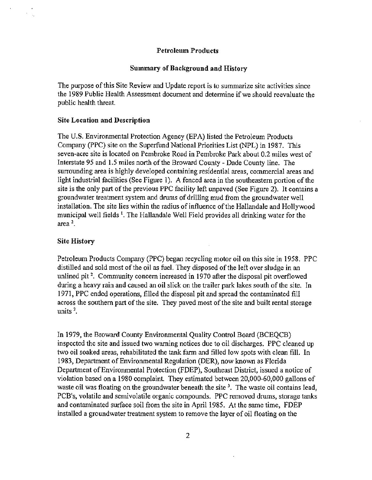#### Petroleum Products

#### Summary of Background and History

The purpose of this Site Review and Update report is to summarize site activities since the 1989 Public Health Assessment document and determine if we should reevaluate the public health threat.

#### Site Location and Description

The U.S. Environmental Protection Agency (EPA) listed the Petroleum Products Company (PPC) site on the Superfund National Priorities List (NPL) in 1987. This seven-acre site is located on Pembroke Road in Pembroke Park about 0.2 miles west of Interstate 95 and 1.5 miles north of the Broward County- Dade County line. The surrounding area is highly developed containing resfdential areas, commercial areas and light industrial facilities (See Figure 1). A fenced area in the southeastern portion of the site is the only part of the previous PPC facility left unpaved (See Figure 2). It contains a groundwater treatment system and drums of drilling mud from the groundwater well installation. The site lies within the radius of influence of the Hallandale and Hollywood municipal well fields<sup>1</sup>. The Hallandale Well Field provides all drinking water for the area $2<sup>2</sup>$ .

#### Site History

Petroleum Products Company (PPC) began recycling motor oil on this site in 1958. PPC distilled and sold most of the oil as fuel. They disposed of the left over sludge in an unlined pit<sup>2</sup>. Community concern increased in 1970 after the disposal pit overflowed during a heavy rain and caused an oil slick on the trailer park lakes south of the site. In 1971, PPC ended operations, filled the disposal pit and spread the contaminated fill across the southern part of the site. They paved most of the site and built rental storage units<sup>2</sup>.

In 1979, the Broward County Environmental Quality Control Board (BCEQCB) inspected the site and issued two warning notices due to oil discharges. PPC cleaned up two oil soaked areas, rehabilitated the tank farm and filled low spots with clean fill. In 1983, Department of Environmental Regulation (DER), now known as Florida Department of Environmental Protection (FDEP), Southeast District, issued a notice of violation based on a 1980 complaint. They estimated between 20,000-60,000 gallons of waste oil was floating on the groundwater beneath the site  $3<sup>3</sup>$ . The waste oil contains lead, PCB's, volatile and semivolatile organic compounds. PPC removed drums, storage tanks and contaminated surface soil from the site in April 1985. At the same time, FDEP installed a groundwater treatment system to remove the layer of oil floating on the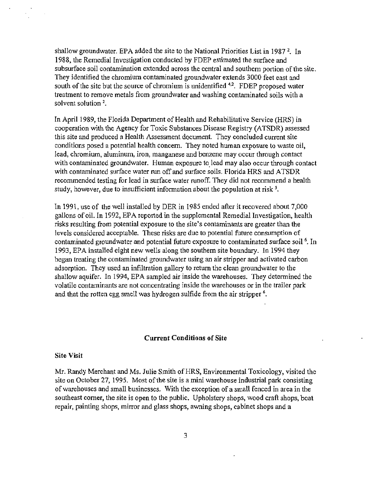shallow groundwater. EPA added the site to the National Priorities List in 1987<sup>2</sup>. In 1988, the Remedial Investigation conducted by FDEP estimated the surface and subsurface soil contamination extended across the central and southern portion of the site. They identified the chromium contaminated groundwater extends 3000 feet east and south of the site but the source of chromium is unidentified <sup>4,2</sup>. FDEP proposed water treatment to remove metals from groundwater and washing contaminated soils with a solvent solution<sup>2</sup>.

In April 1989, the Florida Department of Health and Rehabilitative Service (HRS) in cooperation with the Agency for Toxic Substances Disease Registry (ATSDR) assessed this site and produced a Health Assessment document. They concluded current site conditions posed a potential health concern. They noted human exposure to waste oil, lead, chromium, aluminum, iron, manganese and benzene may occur through contact with contaminated groundwater. Human exposure to lead may also occur through contact with contaminated surface water run off and surface soils. Florida HRS and ATSDR recommended testing for lead in surface water runoff. They did not recommend a health study, however, due to insufficient information about the population at risk  $\frac{1}{2}$ .

In 1991, use of the well installed by DER in 1985 ended after it recovered about 7,000 gallons of oil. In 1992, EPA reported in the supplemental Remedial Investigation, health risks resulting from potential exposure to the site's contaminants are greater than the levels considered acceptable. These risks are due to potential future consumption of contaminated groundwater and potential future exposure to contaminated surface soil <sup>6</sup>. In 1993, EPA installed eight new wells along the southern site boundary. In 1994 they began treating the contaminated groundwater using an air stripper and activated carbon adsorption. They used an infiltration gallery to return the clean groundwater to the shallow aquifer. In 1994, EPA sampled air inside the warehouses. They determined the volatile contaminants are not concentrating inside the warehouses or in the trailer park and that the rotten egg smell was hydrogen sulfide from the air stripper<sup>6</sup>.

## Current Conditions of Site

#### Site Visit

Mr. Randy Merchant and Ms. Julie Smith of HRS, Environmental Toxicology, visited the site on October 27, 1995. Most of the site is a mini warehouse industrial park consisting of warehouses and small businesses. With the exception of a small fenced in area in the southeast comer, the site is open to the public. Upholstery shops, wood craft shops, boat repair, painting shops, mirror and glass shops, awning shops, cabinet shops and a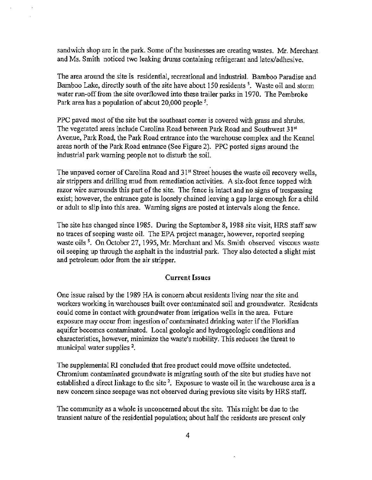sandwich shop are in the park. Some of the businesses are creating wastes. Mr. Merchant and Ms. Smith noticed two leaking drums containing refrigerant and latex/adhesive.

The area around the site is residential, recreational and industrial. Bamboo Paradise and Bamboo Lake, directly south of the site have about 150 residents *<sup>5</sup> •* Waste oil and storm water run-off from the site overflowed into these trailer parks in 1970. The Pembroke Park area has a population of about 20,000 people *<sup>5</sup> •* 

PPC paved most of the site but the southeast corner is covered with grass and shrubs. The vegetated areas include Carolina Road between Park Road and Southwest 31<sup>st</sup> A venue, Park Road, the Park Road entrance into the warehouse complex and the Kennel areas north of the Park Road entrance (See Figure 2). PPC posted signs around the industrial park warning people not to disturb the soil.

The unpaved corner of Carolina Road and 31<sup>st</sup> Street houses the waste oil recovery wells, air strippers and drilling mud from remediation activities. A six-foot fence topped with razor wire surrounds this part of the site. The fence is intact and no signs of trespassing exist; however, the entrance gate is loosely chained leaving a gap large enough for a child or adult to slip into this area. Warning signs are posted at intervals along the fence.

The site has changed since 1985. During the September 8, 1988 site visit, HRS staff saw no traces of seeping waste oil. The EPA project manager, however, reported seeping waste oils<sup>5</sup>. On October 27, 1995, Mr. Merchant and Ms. Smith observed viscous waste oil seeping up through the asphalt in the industrial park. They also detected a slight mist and petroleum odor from the air stripper.

#### **Current** Issues

One issue raised by the 1989 HA is concern about residents living near the site and workers working in warehouses built over contaminated soil and groundwater. Residents could come in contact with groundwater from irrigation wells in the area. Future exposure may occur from ingestion of contaminated drinking water if the Floridian aquifer becomes contaminated. Local geologic and hydrogeologic conditions and characteristics, however, minimize the waste's mobility. This reduces the threat to municipal water supplies <sup>2</sup>.

The supplemental RI concluded that free product could move offsite undetected. Chromium contaminated groundwate is migrating south of the site but studies have not established a direct linkage to the site<sup>2</sup>. Exposure to waste oil in the warehouse area is a new concern since seepage was not observed during previous site visits by HRS staff.

The community as a whole is unconcerned about the site. This might be due to the transient nature of the residential population; about half the residents are present only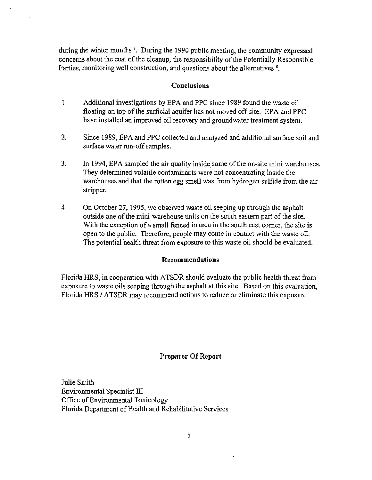during the winter months<sup>7</sup>. During the 1990 public meeting, the community expressed concerns about the cost of the cleanup, the responsibility of the Potentially Responsible Parties, monitoring well construction, and questions about the alternatives <sup>8</sup>.

#### Conclusions

- 1 Additional investigations by EPA and PPC since 1989 found the waste oil floating on top of the surficial aquifer has not moved off-site. EPA and PPC have installed an improved oil recovery and groundwater treatment system.
- 2. Since 1989, EPA and PPC collected and analyzed and additional surface soil and surface water run-off samples.
- 3. In 1994, EPA sampled the air quality inside. some of the on-site mini warehouses. They determined volatile contaminants were not concentrating inside the warehouses and that the rotten egg smell was from hydrogen sulfide from the air stripper.
- 4. On October 27, 1995, we observed waste oil seeping up through the asphalt outside one of the mini-warehouse units on the south eastern part of the site. With the exception of a small fenced in area in the south east comer, the site is open to the public. Therefore, people may come in contact with the waste oil. The potential health threat from exposure to this waste oil should be evaluated.

#### Recommendations

Florida HRS, in cooperation with ATSDR should evaluate the public health threat from exposure to waste oils seeping through the asphalt at this site. Based on this evaluation, Florida HRS / ATSDR may recommend actions to reduce or eliminate this exposure.

## Preparer Of Report

Julie Smith Environmental Specialist III Office of Environmental Toxicology Florida Department of Health and Rehabilitative Services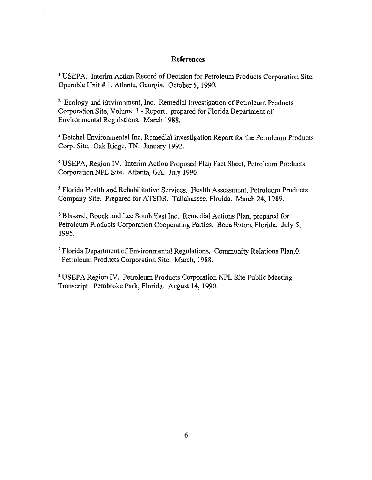# References

<sup>1</sup> USEPA. Interim Action Record of Decision for Petroleum Products Corporation Site. Operable Unit # 1. Atlanta, Georgia. October 5, 1990.

<sup>2</sup> Ecology and Environment, Inc. Remedial Investigation of Petroleum Products Corporation Site, Volume 1 -Report; prepared for Florida Department of Environmental Regulations. March 1988.

<sup>3</sup> Betchel Environmental Inc. Remedial Investigation Report for the Petroleum Products Corp. Site. Oak Ridge, TN. January 1992.

<sup>4</sup> USEPA, Region IV. Interim Action Proposed Plan Fact Sheet, Petroleum Products Corporation NPL Site. Atlanta, GA. July 1990.

*<sup>5</sup>*Florida Health and Rehabilitative Services. Health Assessment, Petroleum Products Company Site. Prepared for ATSDR. Tallahassee, Florida. March 24, 1989.

6 Blasand, Bouck and Lee South East Inc. Remedial Actions Plan, prepared for Petroleum Products Corporation Cooperating Parties. Boca Raton, Florida. July 5, 1995.

7 Florida Department of Environmental Regulations. Community Relations Plan,O. Petroleum Products Corporation Site. March, 1988.

8 USEPA Region IV. Petroleum Products Corporation NPL Site Public Meeting Transcript. Pembroke Park, Florida. August 14, 1990.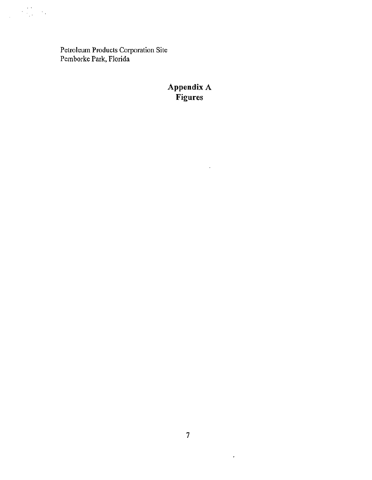Petroleum Products Corporation Site Pemborke Park, Florida

# **Appendix A Figures**

 $\mathbb{Z}_2$ 

 $\mathcal{A}^{\mathcal{A}}$  .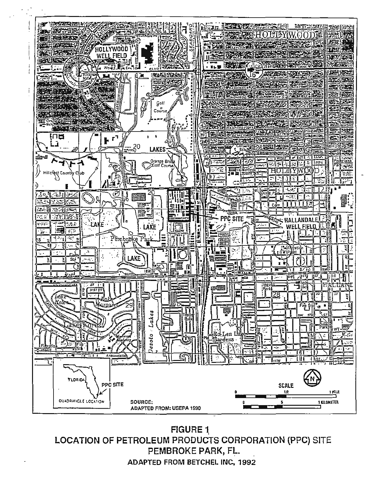

**FIGURE 1** LOCATION OF PETROLEUM PRODUCTS CORPORATION (PPC) SITE PEMBROKE PARK, FL. **ADAPTED FROM BETCHEL INC. 1992**